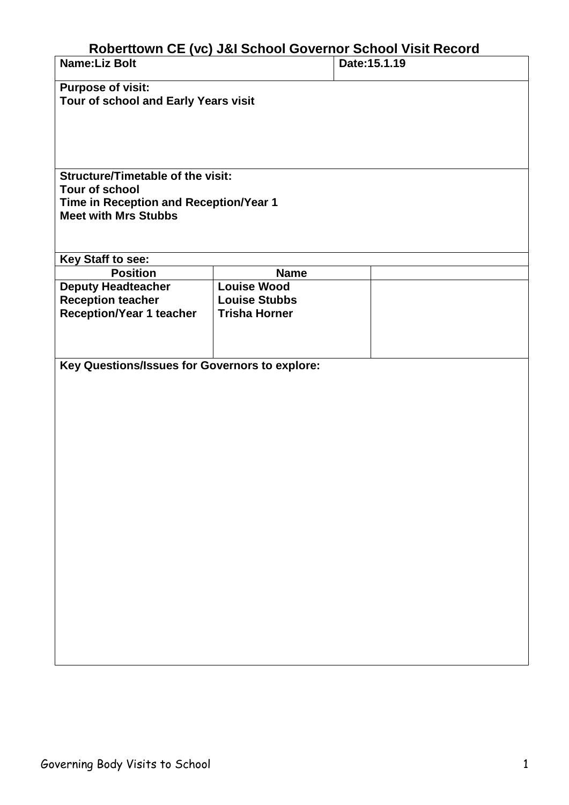## **Roberttown CE (vc) J&I School Governor School Visit Record**

| <b>Name:Liz Bolt</b>                                                  |                                              | <b>NUDERIUMIT OF TACI JAI OCHOOL OUVERTIOL OCHOOL VISIL NECOLU</b><br>Date: 15.1.19 |  |
|-----------------------------------------------------------------------|----------------------------------------------|-------------------------------------------------------------------------------------|--|
| <b>Purpose of visit:</b>                                              |                                              |                                                                                     |  |
| Tour of school and Early Years visit                                  |                                              |                                                                                     |  |
|                                                                       |                                              |                                                                                     |  |
|                                                                       |                                              |                                                                                     |  |
|                                                                       |                                              |                                                                                     |  |
|                                                                       |                                              |                                                                                     |  |
| <b>Structure/Timetable of the visit:</b>                              |                                              |                                                                                     |  |
| <b>Tour of school</b>                                                 |                                              |                                                                                     |  |
| Time in Reception and Reception/Year 1<br><b>Meet with Mrs Stubbs</b> |                                              |                                                                                     |  |
|                                                                       |                                              |                                                                                     |  |
|                                                                       |                                              |                                                                                     |  |
| Key Staff to see:                                                     |                                              |                                                                                     |  |
| <b>Position</b>                                                       | <b>Name</b>                                  |                                                                                     |  |
| <b>Deputy Headteacher</b>                                             | <b>Louise Wood</b>                           |                                                                                     |  |
| <b>Reception teacher</b><br><b>Reception/Year 1 teacher</b>           | <b>Louise Stubbs</b><br><b>Trisha Horner</b> |                                                                                     |  |
|                                                                       |                                              |                                                                                     |  |
|                                                                       |                                              |                                                                                     |  |
|                                                                       |                                              |                                                                                     |  |
| Key Questions/Issues for Governors to explore:                        |                                              |                                                                                     |  |
|                                                                       |                                              |                                                                                     |  |
|                                                                       |                                              |                                                                                     |  |
|                                                                       |                                              |                                                                                     |  |
|                                                                       |                                              |                                                                                     |  |
|                                                                       |                                              |                                                                                     |  |
|                                                                       |                                              |                                                                                     |  |
|                                                                       |                                              |                                                                                     |  |
|                                                                       |                                              |                                                                                     |  |
|                                                                       |                                              |                                                                                     |  |
|                                                                       |                                              |                                                                                     |  |
|                                                                       |                                              |                                                                                     |  |
|                                                                       |                                              |                                                                                     |  |
|                                                                       |                                              |                                                                                     |  |
|                                                                       |                                              |                                                                                     |  |
|                                                                       |                                              |                                                                                     |  |
|                                                                       |                                              |                                                                                     |  |
|                                                                       |                                              |                                                                                     |  |
|                                                                       |                                              |                                                                                     |  |
|                                                                       |                                              |                                                                                     |  |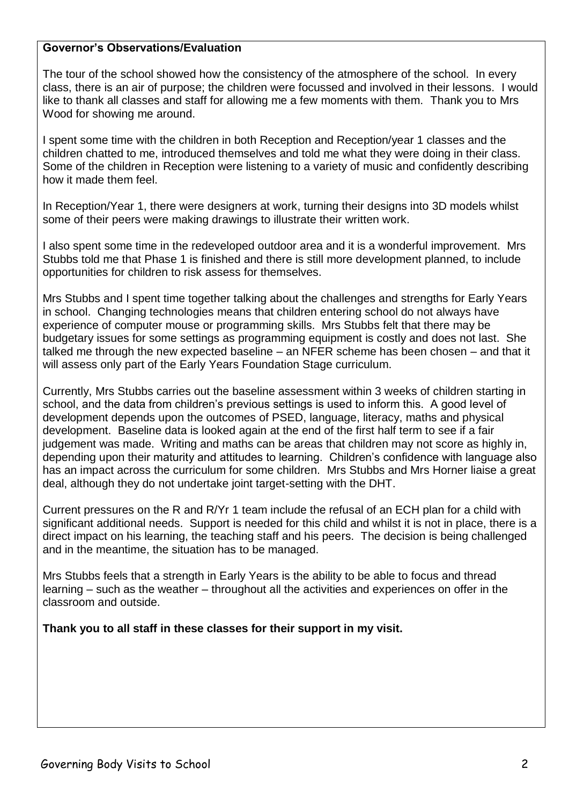## **Governor's Observations/Evaluation**

The tour of the school showed how the consistency of the atmosphere of the school. In every class, there is an air of purpose; the children were focussed and involved in their lessons. I would like to thank all classes and staff for allowing me a few moments with them. Thank you to Mrs Wood for showing me around.

I spent some time with the children in both Reception and Reception/year 1 classes and the children chatted to me, introduced themselves and told me what they were doing in their class. Some of the children in Reception were listening to a variety of music and confidently describing how it made them feel.

In Reception/Year 1, there were designers at work, turning their designs into 3D models whilst some of their peers were making drawings to illustrate their written work.

I also spent some time in the redeveloped outdoor area and it is a wonderful improvement. Mrs Stubbs told me that Phase 1 is finished and there is still more development planned, to include opportunities for children to risk assess for themselves.

Mrs Stubbs and I spent time together talking about the challenges and strengths for Early Years in school. Changing technologies means that children entering school do not always have experience of computer mouse or programming skills. Mrs Stubbs felt that there may be budgetary issues for some settings as programming equipment is costly and does not last. She talked me through the new expected baseline – an NFER scheme has been chosen – and that it will assess only part of the Early Years Foundation Stage curriculum.

Currently, Mrs Stubbs carries out the baseline assessment within 3 weeks of children starting in school, and the data from children's previous settings is used to inform this. A good level of development depends upon the outcomes of PSED, language, literacy, maths and physical development. Baseline data is looked again at the end of the first half term to see if a fair judgement was made. Writing and maths can be areas that children may not score as highly in, depending upon their maturity and attitudes to learning. Children's confidence with language also has an impact across the curriculum for some children. Mrs Stubbs and Mrs Horner liaise a great deal, although they do not undertake joint target-setting with the DHT.

Current pressures on the R and R/Yr 1 team include the refusal of an ECH plan for a child with significant additional needs. Support is needed for this child and whilst it is not in place, there is a direct impact on his learning, the teaching staff and his peers. The decision is being challenged and in the meantime, the situation has to be managed.

Mrs Stubbs feels that a strength in Early Years is the ability to be able to focus and thread learning – such as the weather – throughout all the activities and experiences on offer in the classroom and outside.

**Thank you to all staff in these classes for their support in my visit.**